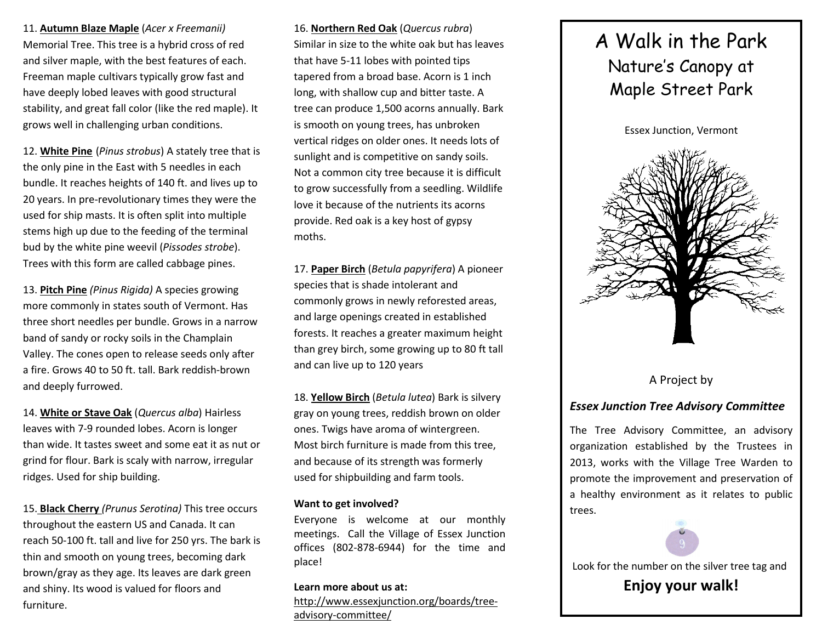11. <u><mark>Autumn Blaze Maple</mark> (Acer x Freemanii)</u> Memorial Tree. This tree is a hybrid cross of red and silver maple, with the best features of each. Freeman maple cultivars typically grow fast and have deeply lobed leaves with good structural stability, and great fall color (like the red maple). It grows well in challenging urban conditions.

12. White Pine (*Pinus strobus*) A stately tree that is the only pine in the East with 5 needles in each bundle. It reaches heights of 140 ft. and lives up to 20 years. In pre-revolutionary times they were the used for ship masts. It is often split into multiple stems high up due to the feeding of the terminal bud by the white pine weevil (Pissodes strobe). Trees with this form are called cabbage pines.

13. Pitch Pine (Pinus Rigida) A species growing more commonly in states south of Vermont. Has three short needles per bundle. Grows in a narrow band of sandy or rocky soils in the Champlain Valley. The cones open to release seeds only after a fire. Grows 40 to 50 ft. tall. Bark reddish-brownand deeply furrowed.

14. White or Stave Oak (Quercus alba) Hairless leaves with 7-9 rounded lobes. Acorn is longer than wide. It tastes sweet and some eat it as nut or grind for flour. Bark is scaly with narrow, irregular ridges. Used for ship building.

15. Black Cherry (Prunus Serotina) This tree occurs throughout the eastern US and Canada. It can reach 50-100 ft. tall and live for 250 yrs. The bark is thin and smooth on young trees, becoming dark brown/gray as they age. Its leaves are dark green and shiny. Its wood is valued for floors and furniture.

16. <u>Northern Red Oak</u> (Quercus rubra) Similar in size to the white oak but has leaves that have 5-11 lobes with pointed tips tapered from a broad base. Acorn is 1 inch long, with shallow cup and bitter taste. A tree can produce 1,500 acorns annually. Bark is smooth on young trees, has unbroken vertical ridges on older ones. It needs lots of sunlight and is competitive on sandy soils. Not a common city tree because it is difficult to grow successfully from a seedling. Wildlife love it because of the nutrients its acorns provide. Red oak is a key host of gypsy moths.

17. Paper Birch (Betula papyrifera) A pioneer species that is shade intolerant and commonly grows in newly reforested areas, and large openings created in established forests. It reaches a greater maximum height than grey birch, some growing up to 80 ft tall and can live up to 120 years

18. Yellow Birch (Betula lutea) Bark is silvery gray on young trees, reddish brown on older ones. Twigs have aroma of wintergreen. Most birch furniture is made from this tree, and because of its strength was formerly used for shipbuilding and farm tools.

## Want to get involved?

Everyone is welcome at our monthly meetings. Call the Village of Essex Junction offices (802-878-6944) for the time and place!

Learn more about us at: http://www.essexjunction.org/boards/treeadvisory-committee/

## A Walk in the Park Nature's Canopy at Maple Street Park

Essex Junction, Vermont



## A Project by

## Essex Junction Tree Advisory Committee

The Tree Advisory Committee, an advisory organization established by the Trustees in 2013, works with the Village Tree Warden to promote the improvement and preservation of a healthy environment as it relates to public trees.



Enjoy your walk!